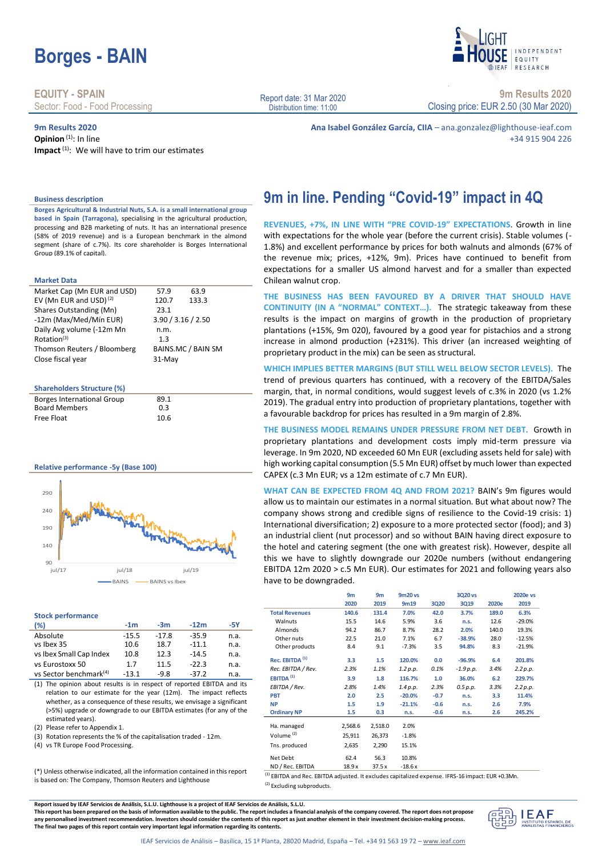# **Borges - BAIN**

**EQUITY - SPAIN** Sector: Food - Food Processing

**9m Results 2020**

**Opinion**<sup>(1)</sup>: In line **Impact**<sup>(1)</sup>: We will have to trim our estimates Report date: 31 Mar 2020 Distribution time: 11:00

**9m Results 2020**

**INDEPENDENT** FOULTY RESEARCH

Closing price: EUR 2.50 (30 Mar 2020)

**Ana Isabel González García, CIIA** – ana.gonzalez@lighthouse-ieaf.com +34 915 904 226

**Business description**

**Borges Agricultural & Industrial Nuts, S.A. is a small international group based in Spain (Tarragona),** specialising in the agricultural production, processing and B2B marketing of nuts. It has an international presence (58% of 2019 revenue) and is a European benchmark in the almond segment (share of c.7%). Its core shareholder is Borges International Group (89.1% of capital).

### **Market Data**

| Market Cap (Mn EUR and USD)        | 57.9<br>63.9       |
|------------------------------------|--------------------|
| EV (Mn EUR and USD) <sup>(2)</sup> | 133.3<br>120.7     |
| Shares Outstanding (Mn)            | 23.1               |
| -12m (Max/Med/Mín EUR)             | 3.90 / 3.16 / 2.50 |
| Daily Avg volume (-12m Mn          | n.m.               |
| Rotation <sup>(3)</sup>            | 1.3                |
| Thomson Reuters / Bloomberg        | BAINS.MC / BAIN SM |
| Close fiscal year                  | 31-May             |

### **Shareholders Structure (%)**

| <b>Borges International Group</b> | 89.1 |  |
|-----------------------------------|------|--|
| <b>Board Members</b>              | 0.3  |  |
| Free Float                        | 10.6 |  |

### **Relative performance -5y (Base 100)**



#### **Stock performance**

| (%)                                | $-1m$   | $-3m$   | $-12m$  | -5Y  |
|------------------------------------|---------|---------|---------|------|
| Absolute                           | $-15.5$ | $-17.8$ | $-35.9$ | n.a. |
| vs Ibex 35                         | 10.6    | 18.7    | $-11.1$ | n.a. |
| vs Ibex Small Cap Index            | 10.8    | 12.3    | $-14.5$ | n.a. |
| vs Eurostoxx 50                    | 1.7     | 11.5    | $-22.3$ | n.a. |
| vs Sector benchmark <sup>(4)</sup> | $-13.1$ | $-9.8$  | $-37.2$ | n.a. |

(1) The opinion about results is in respect of reported EBITDA and its relation to our estimate for the year (12m). The impact reflects whether, as a consequence of these results, we envisage a significant (>5%) upgrade or downgrade to our EBITDA estimates (for any of the estimated years).

(2) Please refer to Appendix 1.

(3) Rotation represents the % of the capitalisation traded - 12m.

(4) vs TR Europe Food Processing.

(\*) Unless otherwise indicated, all the information contained in this report is based on: The Company, Thomson Reuters and Lighthouse

**9m in line. Pending "Covid-19" impact in 4Q**

**REVENUES, +7%, IN LINE WITH "PRE COVID-19" EXPECTATIONS**. Growth in line with expectations for the whole year (before the current crisis). Stable volumes (- 1.8%) and excellent performance by prices for both walnuts and almonds (67% of the revenue mix; prices, +12%, 9m). Prices have continued to benefit from expectations for a smaller US almond harvest and for a smaller than expected Chilean walnut crop.

**THE BUSINESS HAS BEEN FAVOURED BY A DRIVER THAT SHOULD HAVE CONTINUITY (IN A "NORMAL" CONTEXT…).** The strategic takeaway from these results is the impact on margins of growth in the production of proprietary plantations (+15%, 9m 020), favoured by a good year for pistachios and a strong increase in almond production (+231%). This driver (an increased weighting of proprietary product in the mix) can be seen as structural.

**WHICH IMPLIES BETTER MARGINS (BUT STILL WELL BELOW SECTOR LEVELS).** The trend of previous quarters has continued, with a recovery of the EBITDA/Sales margin, that, in normal conditions, would suggest levels of c.3% in 2020 (vs 1.2% 2019). The gradual entry into production of proprietary plantations, together with a favourable backdrop for prices has resulted in a 9m margin of 2.8%.

**THE BUSINESS MODEL REMAINS UNDER PRESSURE FROM NET DEBT.** Growth in proprietary plantations and development costs imply mid-term pressure via leverage. In 9m 2020, ND exceeded 60 Mn EUR (excluding assets held for sale) with high working capital consumption (5.5 Mn EUR) offset by much lower than expected CAPEX (c.3 Mn EUR; vs a 12m estimate of c.7 Mn EUR).

**WHAT CAN BE EXPECTED FROM 4Q AND FROM 2021?** BAIN's 9m figures would allow us to maintain our estimates in a normal situation. But what about now? The company shows strong and credible signs of resilience to the Covid-19 crisis: 1) International diversification; 2) exposure to a more protected sector (food); and 3) an industrial client (nut processor) and so without BAIN having direct exposure to the hotel and catering segment (the one with greatest risk). However, despite all this we have to slightly downgrade our 2020e numbers (without endangering EBITDA 12m 2020 > c.5 Mn EUR). Our estimates for 2021 and following years also have to be downgraded.

|                            | 9m<br>2020 | 9m<br>2019 | 9m20 vs<br>9m19 | 3Q20   | 3Q20 vs<br>3Q19 | 2020e | 2020e vs<br>2019 |
|----------------------------|------------|------------|-----------------|--------|-----------------|-------|------------------|
|                            |            |            |                 |        |                 |       |                  |
| <b>Total Revenues</b>      | 140.6      | 131.4      | 7.0%            | 42.0   | 3.7%            | 189.0 | 6.3%             |
| Walnuts                    | 15.5       | 14.6       | 5.9%            | 3.6    | n.s.            | 12.6  | $-29.0%$         |
| Almonds                    | 94.2       | 86.7       | 8.7%            | 28.2   | 2.0%            | 140.0 | 19.3%            |
| Other nuts                 | 22.5       | 21.0       | 7.1%            | 6.7    | $-38.9%$        | 28.0  | $-12.5%$         |
| Other products             | 8.4        | 9.1        | $-7.3%$         | 3.5    | 94.8%           | 8.3   | $-21.9%$         |
| Rec. EBITDA <sup>(1)</sup> | 3.3        | 1.5        | 120.0%          | 0.0    | $-96.9%$        | 6.4   | 201.8%           |
| Rec. EBITDA / Rev.         | 2.3%       | 1.1%       | 1.2 p.p.        | 0.1%   | $-1.9 p.p.$     | 3.4%  | 2.2 p.p.         |
| EBITDA <sup>(1)</sup>      | 3.9        | 1.8        | 116.7%          | 1.0    | 36.0%           | 6.2   | 229.7%           |
| EBITDA / Rev.              | 2.8%       | 1.4%       | 1.4 p.p.        | 2.3%   | 0.5 p.p.        | 3.3%  | 2.2 p.p.         |
| <b>PBT</b>                 | 2.0        | 2.5        | $-20.0%$        | $-0.7$ | n.s.            | 3.3   | 11.4%            |
| <b>NP</b>                  | 1.5        | 1.9        | $-21.1%$        | $-0.6$ | n.s.            | 2.6   | 7.9%             |
| <b>Ordinary NP</b>         | 1.5        | 0.3        | n.s.            | $-0.6$ | n.s.            | 2.6   | 245.2%           |
|                            |            | 2,518.0    | 2.0%            |        |                 |       |                  |
| Ha. managed                | 2,568.6    |            |                 |        |                 |       |                  |
| Volume <sup>(2)</sup>      | 25,911     | 26,373     | $-1.8%$         |        |                 |       |                  |
| Tns. produced              | 2,635      | 2,290      | 15.1%           |        |                 |       |                  |
| Net Debt                   | 62.4       | 56.3       | 10.8%           |        |                 |       |                  |
| ND / Rec. EBITDA           | 18.9 x     | 37.5 x     | $-18.6x$        |        |                 |       |                  |

(1) EBITDA and Rec. EBITDA adjusted. It excludes capitalized expense. IFRS-16 impact: EUR +0.3Mn. (2) Excluding subproducts.

**Report issued by IEAF Servicios de Análisis, S.L.U. Lighthouse is a project of IEAF Servicios de Análisis, S.L.U.**

**This report has been prepared on the basis of information available to the public. The report includes a financial analysis of the company covered. The report does not propose any personalised investment recommendation. Investors should consider the contents of this report as just another element in their investment decision-making process. The final two pages of this report contain very important legal information regarding its contents.**

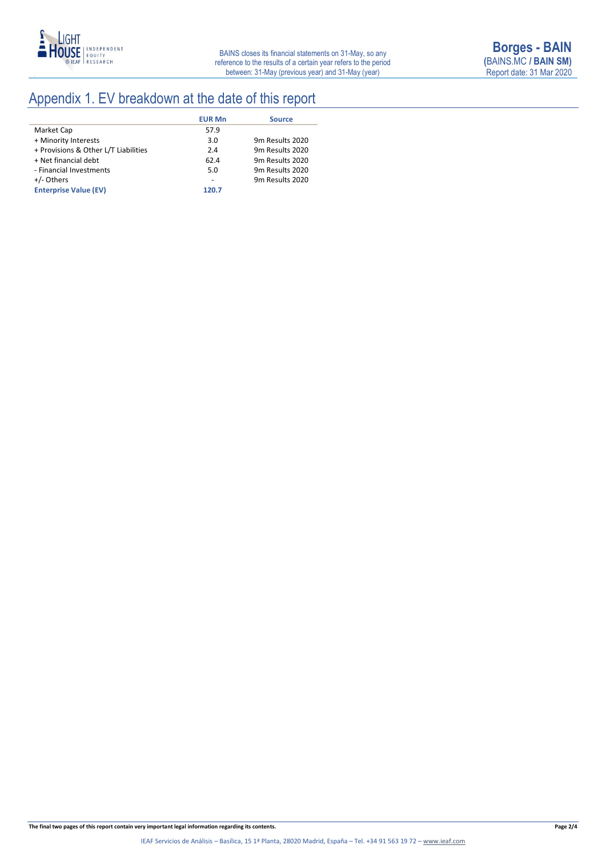

## Appendix 1. EV breakdown at the date of this report

|                                      | <b>EUR Mn</b> | <b>Source</b>   |
|--------------------------------------|---------------|-----------------|
| Market Cap                           | 57.9          |                 |
| + Minority Interests                 | 3.0           | 9m Results 2020 |
| + Provisions & Other L/T Liabilities | 2.4           | 9m Results 2020 |
| + Net financial debt                 | 62.4          | 9m Results 2020 |
| - Financial Investments              | 5.0           | 9m Results 2020 |
| +/- Others                           |               | 9m Results 2020 |
| <b>Enterprise Value (EV)</b>         | 120.7         |                 |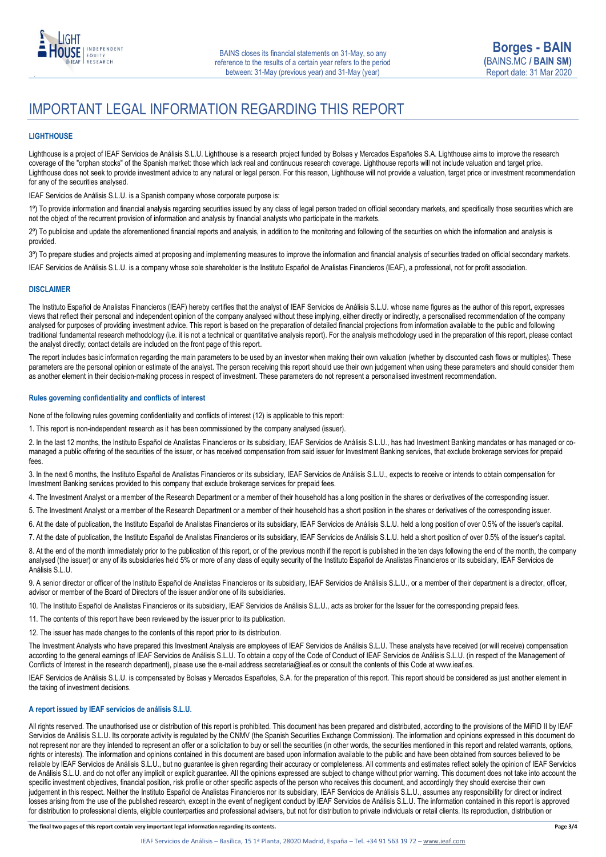

### IMPORTANT LEGAL INFORMATION REGARDING THIS REPORT

### **LIGHTHOUSE**

Lighthouse is a project of IEAF Servicios de Análisis S.L.U. Lighthouse is a research project funded by Bolsas y Mercados Españoles S.A. Lighthouse aims to improve the research coverage of the "orphan stocks" of the Spanish market: those which lack real and continuous research coverage. Lighthouse reports will not include valuation and target price. Lighthouse does not seek to provide investment advice to any natural or legal person. For this reason, Lighthouse will not provide a valuation, target price or investment recommendation for any of the securities analysed.

IEAF Servicios de Análisis S.L.U. is a Spanish company whose corporate purpose is:

1<sup>o</sup>) To provide information and financial analysis regarding securities issued by any class of legal person traded on official secondary markets, and specifically those securities which are not the object of the recurrent provision of information and analysis by financial analysts who participate in the markets.

2º) To publicise and update the aforementioned financial reports and analysis, in addition to the monitoring and following of the securities on which the information and analysis is provided.

3<sup>o</sup>) To prepare studies and projects aimed at proposing and implementing measures to improve the information and financial analysis of securities traded on official secondary markets.

IEAF Servicios de Análisis S.L.U. is a company whose sole shareholder is the Instituto Español de Analistas Financieros (IEAF), a professional, not for profit association.

### **DISCLAIMER**

The Instituto Español de Analistas Financieros (IEAF) hereby certifies that the analyst of IEAF Servicios de Análisis S.L.U. whose name figures as the author of this report, expresses views that reflect their personal and independent opinion of the company analysed without these implying, either directly or indirectly, a personalised recommendation of the company analysed for purposes of providing investment advice. This report is based on the preparation of detailed financial projections from information available to the public and following traditional fundamental research methodology (i.e. it is not a technical or quantitative analysis report). For the analysis methodology used in the preparation of this report, please contact the analyst directly; contact details are included on the front page of this report.

The report includes basic information regarding the main parameters to be used by an investor when making their own valuation (whether by discounted cash flows or multiples). These parameters are the personal opinion or estimate of the analyst. The person receiving this report should use their own judgement when using these parameters and should consider them as another element in their decision-making process in respect of investment. These parameters do not represent a personalised investment recommendation.

### **Rules governing confidentiality and conflicts of interest**

None of the following rules governing confidentiality and conflicts of interest (12) is applicable to this report:

1. This report is non-independent research as it has been commissioned by the company analysed (issuer).

2. In the last 12 months, the Instituto Español de Analistas Financieros or its subsidiary, IEAF Servicios de Análisis S.L.U., has had Investment Banking mandates or has managed or comanaged a public offering of the securities of the issuer, or has received compensation from said issuer for lnvestment Banking services, that exclude brokerage services for prepaid fees.

3. In the next 6 months, the Instituto Español de Analistas Financieros or its subsidiary, IEAF Servicios de Análisis S.L.U., expects to receive or intends to obtain compensation for Investment Banking services provided to this company that exclude brokerage services for prepaid fees.

4. The Investment Analyst or a member of the Research Department or a member of their household has a long position in the shares or derivatives of the corresponding issuer.

5. The Investment Analyst or a member of the Research Department or a member of their household has a short position in the shares or derivatives of the corresponding issuer.

6. At the date of publication, the Instituto Español de Analistas Financieros or its subsidiary, IEAF Servicios de Análisis S.L.U. held a long position of over 0.5% of the issuer's capital.

7. At the date of publication, the Instituto Español de Analistas Financieros or its subsidiary, IEAF Servicios de Análisis S.L.U. held a short position of over 0.5% of the issuer's capital.

8. At the end of the month immediately prior to the publication of this report, or of the previous month if the report is published in the ten days following the end of the month, the company analysed (the issuer) or any of its subsidiaries held 5% or more of any class of equity security of the Instituto Español de Analistas Financieros or its subsidiary, IEAF Servicios de Análisis S.L.U.

9. A senior director or officer of the Instituto Español de Analistas Financieros or its subsidiary, IEAF Servicios de Análisis S.L.U., or a member of their department is a director, officer, advisor or member of the Board of Directors of the issuer and/or one of its subsidiaries.

10. The Instituto Español de Analistas Financieros or its subsidiary, IEAF Servicios de Análisis S.L.U., acts as broker for the Issuer for the corresponding prepaid fees.

11. The contents of this report have been reviewed by the issuer prior to its publication.

12. The issuer has made changes to the contents of this report prior to its distribution.

The Investment Analysts who have prepared this Investment Analysis are employees of IEAF Servicios de Análisis S.L.U. These analysts have received (or will receive) compensation according to the general earnings of IEAF Servicios de Análisis S.L.U. To obtain a copy of the Code of Conduct of IEAF Servicios de Análisis S.L.U. (in respect of the Management of Conflicts of Interest in the research department), please use the e-mail address secretaria@ieaf.es or consult the contents of this Code at [www.ieaf.es.](https://www.ieaf.es/images/IEAF/LIGHTHOUSE/IEAF_LIGHTHOUSE_CodigoDeConducta.pdf) 

IEAF Servicios de Análisis S.L.U. is compensated by Bolsas y Mercados Españoles, S.A. for the preparation of this report. This report should be considered as just another element in the taking of investment decisions.

### **A report issued by IEAF servicios de análisis S.L.U.**

All rights reserved. The unauthorised use or distribution of this report is prohibited. This document has been prepared and distributed, according to the provisions of the MiFID II by IEAF Servicios de Análisis S.L.U. Its corporate activity is regulated by the CNMV (the Spanish Securities Exchange Commission). The information and opinions expressed in this document do not represent nor are they intended to represent an offer or a solicitation to buy or sell the securities (in other words, the securities mentioned in this report and related warrants, options, rights or interests). The information and opinions contained in this document are based upon information available to the public and have been obtained from sources believed to be reliable by IEAF Servicios de Análisis S.L.U., but no guarantee is given regarding their accuracy or completeness. All comments and estimates reflect solely the opinion of IEAF Servicios de Análisis S.L.U. and do not offer any implicit or explicit guarantee. All the opinions expressed are subject to change without prior warning. This document does not take into account the specific investment objectives, financial position, risk profile or other specific aspects of the person who receives this document, and accordingly they should exercise their own judgement in this respect. Neither the Instituto Español de Analistas Financieros nor its subsidiary, IEAF Servicios de Análisis S.L.U., assumes any responsibility for direct or indirect losses arising from the use of the published research, except in the event of negligent conduct by IEAF Servicios de Análisis S.L.U. The information contained in this report is approved for distribution to professional clients, eligible counterparties and professional advisers, but not for distribution to private individuals or retail clients. Its reproduction, distribution or